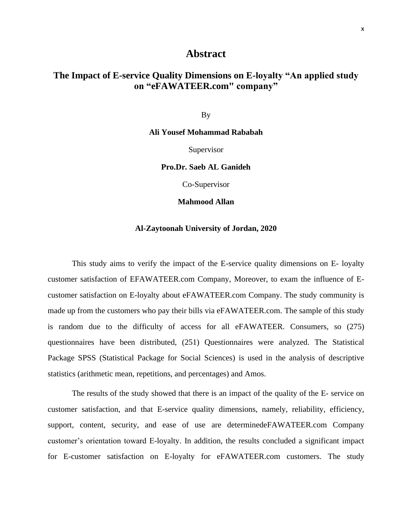## **Abstract**

## **The Impact of E-service Quality Dimensions on E-loyalty "An applied study on "eFAWATEER.com" company"**

By

**Ali Yousef Mohammad Rababah**

Supervisor

**Pro.Dr. Saeb AL Ganideh**

Co-Supervisor

**Mahmood Allan**

## **Al-Zaytoonah University of Jordan, 2020**

This study aims to verify the impact of the E-service quality dimensions on E- loyalty customer satisfaction of EFAWATEER.com Company, Moreover, to exam the influence of Ecustomer satisfaction on E-loyalty about eFAWATEER.com Company. The study community is made up from the customers who pay their bills via eFAWATEER.com. The sample of this study is random due to the difficulty of access for all eFAWATEER. Consumers, so (275) questionnaires have been distributed, (251) Questionnaires were analyzed. The Statistical Package SPSS (Statistical Package for Social Sciences) is used in the analysis of descriptive statistics (arithmetic mean, repetitions, and percentages) and Amos.

The results of the study showed that there is an impact of the quality of the E- service on customer satisfaction, and that E-service quality dimensions, namely, reliability, efficiency, support, content, security, and ease of use are determinedeFAWATEER.com Company customer's orientation toward E-loyalty. In addition, the results concluded a significant impact for E-customer satisfaction on E-loyalty for eFAWATEER.com customers. The study